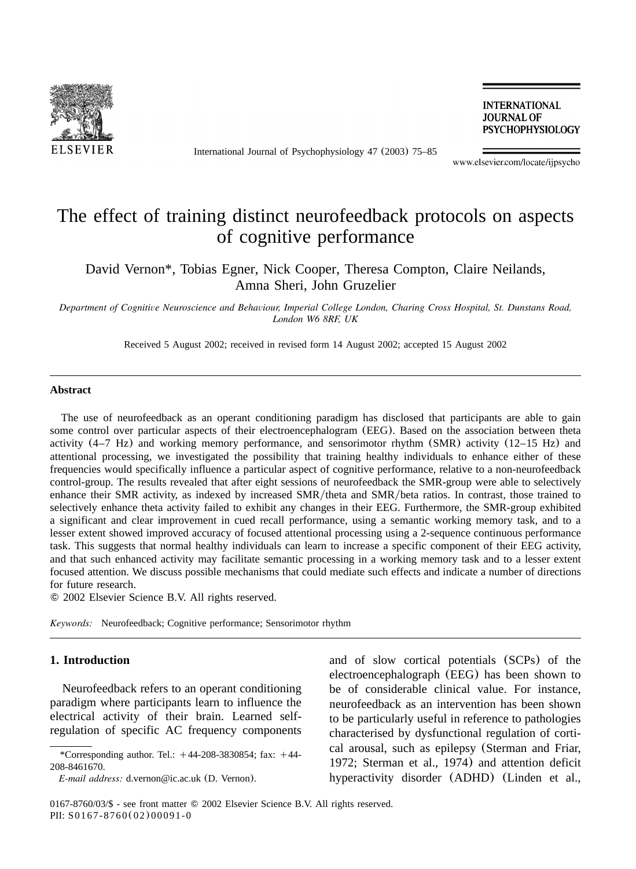<span id="page-0-0"></span>

International Journal of Psychophysiology 47 (2003) 75–85

**INTERNATIONAL JOURNAL OF PSYCHOPHYSIOLOGY** 

www.elsevier.com/locate/ijpsycho

# The effect of training distinct neurofeedback protocols on aspects of cognitive performance

David Vernon\*, Tobias Egner, Nick Cooper, Theresa Compton, Claire Neilands, Amna Sheri, John Gruzelier

*Department of Cognitive Neuroscience and Behaviour, Imperial College London, Charing Cross Hospital, St. Dunstans Road, London W6 8RF, UK*

Received 5 August 2002; received in revised form 14 August 2002; accepted 15 August 2002

#### **Abstract**

The use of neurofeedback as an operant conditioning paradigm has disclosed that participants are able to gain some control over particular aspects of their electroencephalogram (EEG). Based on the association between theta activity (4–7 Hz) and working memory performance, and sensorimotor rhythm (SMR) activity (12–15 Hz) and attentional processing, we investigated the possibility that training healthy individuals to enhance either of these frequencies would specifically influence a particular aspect of cognitive performance, relative to a non-neurofeedback control-group. The results revealed that after eight sessions of neurofeedback the SMR-group were able to selectively enhance their SMR activity, as indexed by increased SMR/theta and SMR/beta ratios. In contrast, those trained to selectively enhance theta activity failed to exhibit any changes in their EEG. Furthermore, the SMR-group exhibited a significant and clear improvement in cued recall performance, using a semantic working memory task, and to a lesser extent showed improved accuracy of focused attentional processing using a 2-sequence continuous performance task. This suggests that normal healthy individuals can learn to increase a specific component of their EEG activity, and that such enhanced activity may facilitate semantic processing in a working memory task and to a lesser extent focused attention. We discuss possible mechanisms that could mediate such effects and indicate a number of directions for future research.

2002 Elsevier Science B.V. All rights reserved.

*Keywords:* Neurofeedback; Cognitive performance; Sensorimotor rhythm

## **1. Introduction**

Neurofeedback refers to an operant conditioning paradigm where participants learn to influence the electrical activity of their brain. Learned selfregulation of specific AC frequency components and of slow cortical potentials (SCPs) of the electroencephalograph (EEG) has been shown to be of considerable clinical value. For instance, neurofeedback as an intervention has been shown to be particularly useful in reference to pathologies characterised by dysfunctional regulation of cortical arousal, such as epilepsy ([Sterman and Friar,](#page-10-0) [1972; Sterman et al., 1974](#page-10-0)) and attention deficit hyperactivity disorder (ADHD) ([Linden et al.,](#page-9-0)

<sup>\*</sup>Corresponding author. Tel.:  $+44-208-3830854$ ; fax:  $+44-$ 208-8461670.

*E-mail address:* d.vernon@ic.ac.uk (D. Vernon).

<sup>0167-8760/03/\$ -</sup> see front matter © 2002 Elsevier Science B.V. All rights reserved. PII: S0167-8760(02)00091-0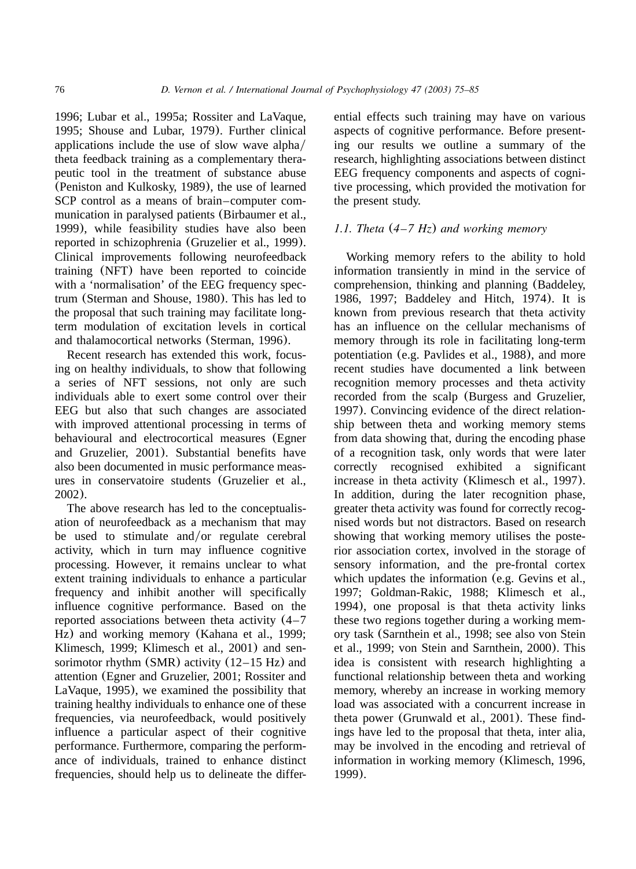[1996; Lubar et al., 1995a; Rossiter and LaVaque,](#page-9-0) [1995; Shouse and Lubar, 1979](#page-9-0)). Further clinical applications include the use of slow wave alpha $\ell$ theta feedback training as a complementary therapeutic tool in the treatment of substance abuse ([Peniston and Kulkosky, 1989](#page-10-0)), the use of learned SCP control as a means of brain–computer communication in paralysed patients ([Birbaumer et al.,](#page-9-0) [1999](#page-9-0)), while feasibility studies have also been reported in schizophrenia ([Gruzelier et al., 1999](#page-9-0)). Clinical improvements following neurofeedback training (NFT) have been reported to coincide with a 'normalisation' of the EEG frequency spectrum ([Sterman and Shouse, 1980](#page-10-0)). This has led to the proposal that such training may facilitate longterm modulation of excitation levels in cortical and thalamocortical networks ([Sterman, 1996](#page-10-0)).

Recent research has extended this work, focusing on healthy individuals, to show that following a series of NFT sessions, not only are such individuals able to exert some control over their EEG but also that such changes are associated with improved attentional processing in terms of behavioural and electrocortical measures ([Egner](#page-9-0) [and Gruzelier, 2001](#page-9-0)). Substantial benefits have also been documented in music performance measures in conservatoire students ([Gruzelier et al.,](#page-9-0) [2002](#page-9-0)).

The above research has led to the conceptualisation of neurofeedback as a mechanism that may be used to stimulate and/or regulate cerebral activity, which in turn may influence cognitive processing. However, it remains unclear to what extent training individuals to enhance a particular frequency and inhibit another will specifically influence cognitive performance. Based on the reported associations between theta activity (4–7 Hz) and working memory ([Kahana et al., 1999;](#page-9-0) [Klimesch, 1999; Klimesch et al., 2001](#page-9-0)) and sensorimotor rhythm (SMR) activity (12–15 Hz) and attention ([Egner and Gruzelier, 2001; Rossiter and](#page-9-0) [LaVaque, 1995](#page-9-0)), we examined the possibility that training healthy individuals to enhance one of these frequencies, via neurofeedback, would positively influence a particular aspect of their cognitive performance. Furthermore, comparing the performance of individuals, trained to enhance distinct frequencies, should help us to delineate the differential effects such training may have on various aspects of cognitive performance. Before presenting our results we outline a summary of the research, highlighting associations between distinct EEG frequency components and aspects of cognitive processing, which provided the motivation for the present study.

## *1.1. Theta* (*4–7 Hz*) *and working memory*

Working memory refers to the ability to hold information transiently in mind in the service of comprehension, thinking and planning ([Baddeley,](#page-9-0) [1986, 1997; Baddeley and Hitch, 1974](#page-9-0)). It is known from previous research that theta activity has an influence on the cellular mechanisms of memory through its role in facilitating long-term potentiation (e.g. [Pavlides et al., 1988](#page-10-0)), and more recent studies have documented a link between recognition memory processes and theta activity recorded from the scalp ([Burgess and Gruzelier,](#page-9-0) [1997](#page-9-0)). Convincing evidence of the direct relationship between theta and working memory stems from data showing that, during the encoding phase of a recognition task, only words that were later correctly recognised exhibited a significant increase in theta activity ([Klimesch et al., 1997](#page-9-0)). In addition, during the later recognition phase, greater theta activity was found for correctly recognised words but not distractors. Based on research showing that working memory utilises the posterior association cortex, involved in the storage of sensory information, and the pre-frontal cortex which updates the information (e.g. [Gevins et al.,](#page-9-0) [1997; Goldman-Rakic, 1988; Klimesch et al.,](#page-9-0) [1994](#page-9-0)), one proposal is that theta activity links these two regions together during a working memory task ([Sarnthein et al., 1998;](#page-10-0) see also [von Stein](#page-10-0) [et al., 1999; von Stein and Sarnthein, 2000](#page-10-0)). This idea is consistent with research highlighting a functional relationship between theta and working memory, whereby an increase in working memory load was associated with a concurrent increase in theta power ([Grunwald et al., 2001](#page-9-0)). These findings have led to the proposal that theta, inter alia, may be involved in the encoding and retrieval of information in working memory ([Klimesch, 1996,](#page-9-0) [1999](#page-9-0)).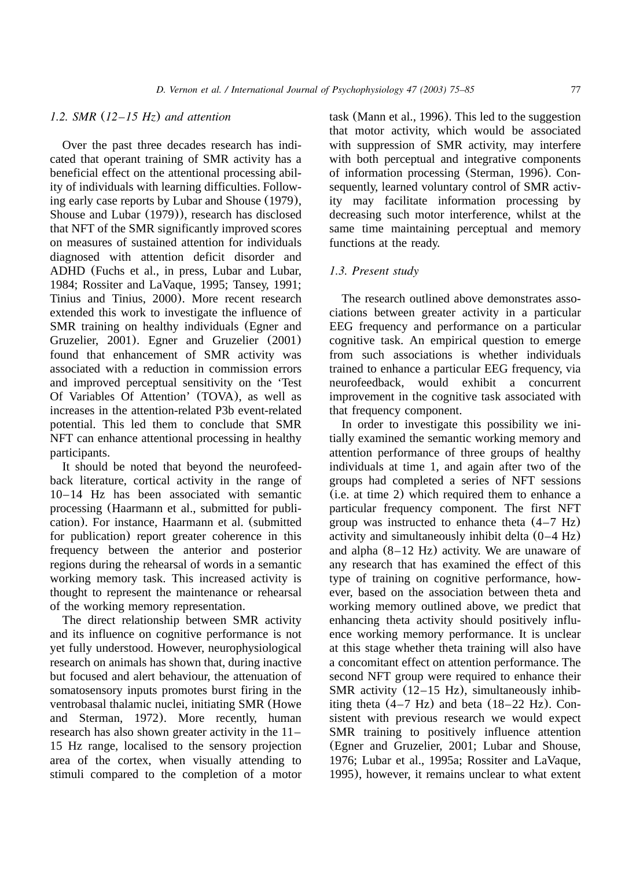## *1.2. SMR* (*12–15 Hz*) *and attention*

Over the past three decades research has indicated that operant training of SMR activity has a beneficial effect on the attentional processing ability of individuals with learning difficulties. Following early case reports by Lubar and Shouse (1979), [Shouse and Lubar](#page-10-0) (1979)), research has disclosed that NFT of the SMR significantly improved scores on measures of sustained attention for individuals diagnosed with attention deficit disorder and ADHD ([Fuchs et al., in press, Lubar and Lubar,](#page-9-0) [1984; Rossiter and LaVaque, 1995; Tansey, 1991;](#page-9-0) [Tinius and Tinius, 2000](#page-9-0)). More recent research extended this work to investigate the influence of SMR training on healthy individuals ([Egner and](#page-9-0) [Gruzelier, 2001](#page-9-0)). [Egner and Gruzelier](#page-9-0) (2001) found that enhancement of SMR activity was associated with a reduction in commission errors and improved perceptual sensitivity on the 'Test Of Variables Of Attention' (TOVA), as well as increases in the attention-related P3b event-related potential. This led them to conclude that SMR NFT can enhance attentional processing in healthy participants.

It should be noted that beyond the neurofeedback literature, cortical activity in the range of 10–14 Hz has been associated with semantic processing ([Haarmann et al., submitted for publi](#page-9-0)[cation](#page-9-0)). For instance, [Haarmann et al.](#page-9-0) (submitted [for publication](#page-9-0)) report greater coherence in this frequency between the anterior and posterior regions during the rehearsal of words in a semantic working memory task. This increased activity is thought to represent the maintenance or rehearsal of the working memory representation.

The direct relationship between SMR activity and its influence on cognitive performance is not yet fully understood. However, neurophysiological research on animals has shown that, during inactive but focused and alert behaviour, the attenuation of somatosensory inputs promotes burst firing in the ventrobasal thalamic nuclei, initiating SMR ([Howe](#page-9-0) [and Sterman, 1972](#page-9-0)). More recently, human research has also shown greater activity in the 11– 15 Hz range, localised to the sensory projection area of the cortex, when visually attending to stimuli compared to the completion of a motor

task ([Mann et al., 1996](#page-10-0)). This led to the suggestion that motor activity, which would be associated with suppression of SMR activity, may interfere with both perceptual and integrative components of information processing ([Sterman, 1996](#page-10-0)). Consequently, learned voluntary control of SMR activity may facilitate information processing by decreasing such motor interference, whilst at the same time maintaining perceptual and memory functions at the ready.

## *1.3. Present study*

The research outlined above demonstrates associations between greater activity in a particular EEG frequency and performance on a particular cognitive task. An empirical question to emerge from such associations is whether individuals trained to enhance a particular EEG frequency, via neurofeedback, would exhibit a concurrent improvement in the cognitive task associated with that frequency component.

In order to investigate this possibility we initially examined the semantic working memory and attention performance of three groups of healthy individuals at time 1, and again after two of the groups had completed a series of NFT sessions (i.e. at time 2) which required them to enhance a particular frequency component. The first NFT group was instructed to enhance theta (4–7 Hz) activity and simultaneously inhibit delta (0–4 Hz) and alpha (8–12 Hz) activity. We are unaware of any research that has examined the effect of this type of training on cognitive performance, however, based on the association between theta and working memory outlined above, we predict that enhancing theta activity should positively influence working memory performance. It is unclear at this stage whether theta training will also have a concomitant effect on attention performance. The second NFT group were required to enhance their SMR activity (12–15 Hz), simultaneously inhibiting theta  $(4-7 \text{ Hz})$  and beta  $(18-22 \text{ Hz})$ . Consistent with previous research we would expect SMR training to positively influence attention ([Egner and Gruzelier, 2001; Lubar and Shouse,](#page-9-0) [1976; Lubar et al., 1995a; Rossiter and LaVaque,](#page-9-0) [1995](#page-9-0)), however, it remains unclear to what extent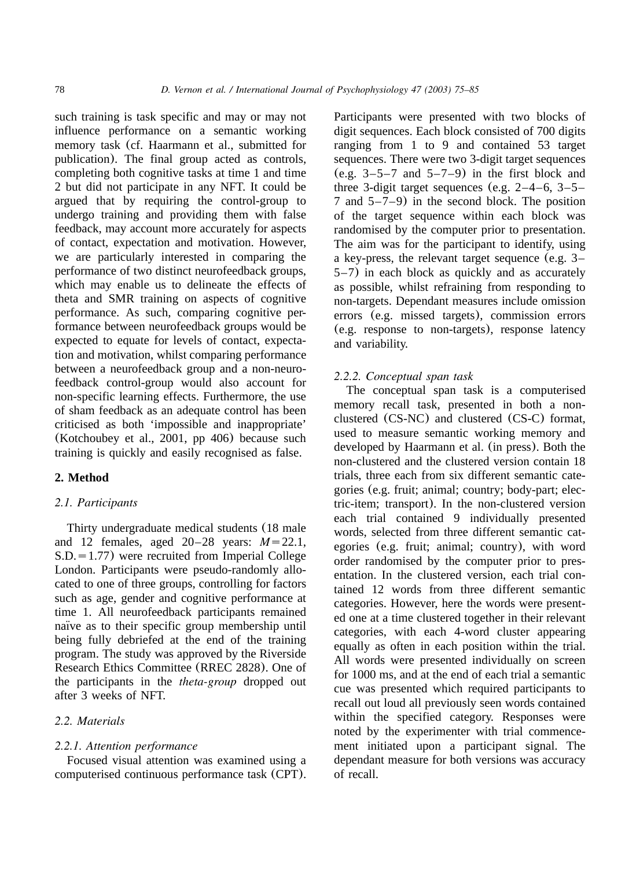such training is task specific and may or may not influence performance on a semantic working memory task (cf. [Haarmann et al., submitted for](#page-9-0) [publication](#page-9-0)). The final group acted as controls, completing both cognitive tasks at time 1 and time 2 but did not participate in any NFT. It could be argued that by requiring the control-group to undergo training and providing them with false feedback, may account more accurately for aspects of contact, expectation and motivation. However, we are particularly interested in comparing the performance of two distinct neurofeedback groups, which may enable us to delineate the effects of theta and SMR training on aspects of cognitive performance. As such, comparing cognitive performance between neurofeedback groups would be expected to equate for levels of contact, expectation and motivation, whilst comparing performance between a neurofeedback group and a non-neurofeedback control-group would also account for non-specific learning effects. Furthermore, the use of sham feedback as an adequate control has been criticised as both 'impossible and inappropriate' ([Kotchoubey et al., 2001, pp 406](#page-9-0)) because such training is quickly and easily recognised as false.

## **2. Method**

## *2.1. Participants*

Thirty undergraduate medical students (18 male and 12 females, aged  $20-28$  years:  $M=22.1$ ,  $S.D. = 1.77$ ) were recruited from Imperial College London. Participants were pseudo-randomly allocated to one of three groups, controlling for factors such as age, gender and cognitive performance at time 1. All neurofeedback participants remained naïve as to their specific group membership until being fully debriefed at the end of the training program. The study was approved by the Riverside Research Ethics Committee (RREC 2828). One of the participants in the *theta-group* dropped out after 3 weeks of NFT.

## *2.2. Materials*

## *2.2.1. Attention performance*

Focused visual attention was examined using a computerised continuous performance task (CPT). Participants were presented with two blocks of digit sequences. Each block consisted of 700 digits ranging from 1 to 9 and contained 53 target sequences. There were two 3-digit target sequences (e.g.  $3-5-7$  and  $5-7-9$ ) in the first block and three 3-digit target sequences (e.g.  $2-4-6$ ,  $3-5-$ 7 and 5–7–9) in the second block. The position of the target sequence within each block was randomised by the computer prior to presentation. The aim was for the participant to identify, using a key-press, the relevant target sequence (e.g. 3– 5–7) in each block as quickly and as accurately as possible, whilst refraining from responding to non-targets. Dependant measures include omission errors (e.g. missed targets), commission errors (e.g. response to non-targets), response latency and variability.

## *2.2.2. Conceptual span task*

The conceptual span task is a computerised memory recall task, presented in both a nonclustered (CS-NC) and clustered (CS-C) format, used to measure semantic working memory and developed by [Haarmann et al.](#page-9-0) (in press). Both the non-clustered and the clustered version contain 18 trials, three each from six different semantic categories (e.g. fruit; animal; country; body-part; electric-item; transport). In the non-clustered version each trial contained 9 individually presented words, selected from three different semantic categories (e.g. fruit; animal; country), with word order randomised by the computer prior to presentation. In the clustered version, each trial contained 12 words from three different semantic categories. However, here the words were presented one at a time clustered together in their relevant categories, with each 4-word cluster appearing equally as often in each position within the trial. All words were presented individually on screen for 1000 ms, and at the end of each trial a semantic cue was presented which required participants to recall out loud all previously seen words contained within the specified category. Responses were noted by the experimenter with trial commencement initiated upon a participant signal. The dependant measure for both versions was accuracy of recall.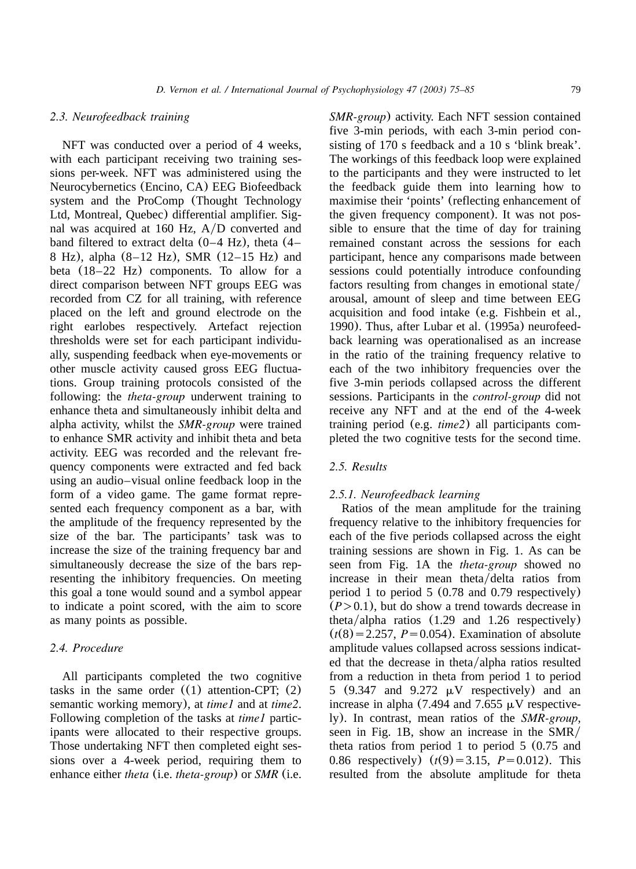NFT was conducted over a period of 4 weeks, with each participant receiving two training sessions per-week. NFT was administered using the Neurocybernetics (Encino, CA) EEG Biofeedback system and the ProComp (Thought Technology Ltd, Montreal, Quebec) differential amplifier. Signal was acquired at 160 Hz,  $A/D$  converted and band filtered to extract delta (0–4 Hz), theta (4– 8 Hz), alpha (8–12 Hz), SMR (12–15 Hz) and beta (18–22 Hz) components. To allow for a direct comparison between NFT groups EEG was recorded from CZ for all training, with reference placed on the left and ground electrode on the right earlobes respectively. Artefact rejection thresholds were set for each participant individually, suspending feedback when eye-movements or other muscle activity caused gross EEG fluctuations. Group training protocols consisted of the following: the *theta-group* underwent training to enhance theta and simultaneously inhibit delta and alpha activity, whilst the *SMR-group* were trained to enhance SMR activity and inhibit theta and beta activity. EEG was recorded and the relevant frequency components were extracted and fed back using an audio–visual online feedback loop in the form of a video game. The game format represented each frequency component as a bar, with the amplitude of the frequency represented by the size of the bar. The participants' task was to increase the size of the training frequency bar and simultaneously decrease the size of the bars representing the inhibitory frequencies. On meeting this goal a tone would sound and a symbol appear to indicate a point scored, with the aim to score as many points as possible.

*2.3. Neurofeedback training*

## *2.4. Procedure*

All participants completed the two cognitive tasks in the same order  $((1)$  attention-CPT;  $(2)$ semantic working memory), at *time1* and at *time2*. Following completion of the tasks at *time1* participants were allocated to their respective groups. Those undertaking NFT then completed eight sessions over a 4-week period, requiring them to enhance either *theta* (i.e. *theta-group*) or *SMR* (i.e. *SMR-group*) activity. Each NFT session contained five 3-min periods, with each 3-min period consisting of 170 s feedback and a 10 s 'blink break'. The workings of this feedback loop were explained to the participants and they were instructed to let the feedback guide them into learning how to maximise their 'points' (reflecting enhancement of the given frequency component). It was not possible to ensure that the time of day for training remained constant across the sessions for each participant, hence any comparisons made between sessions could potentially introduce confounding factors resulting from changes in emotional state/ arousal, amount of sleep and time between EEG acquisition and food intake (e.g. [Fishbein et al.,](#page-9-0) [1990](#page-9-0)). Thus, after [Lubar et al.](#page-9-0) (1995a) neurofeedback learning was operationalised as an increase in the ratio of the training frequency relative to each of the two inhibitory frequencies over the five 3-min periods collapsed across the different sessions. Participants in the *control-group* did not receive any NFT and at the end of the 4-week training period (e.g. *time2*) all participants completed the two cognitive tests for the second time.

# *2.5. Results*

## *2.5.1. Neurofeedback learning*

Ratios of the mean amplitude for the training frequency relative to the inhibitory frequencies for each of the five periods collapsed across the eight training sessions are shown in [Fig. 1.](#page-5-0) As can be seen from [Fig. 1A](#page-5-0) the *theta-group* showed no increase in their mean theta/delta ratios from period 1 to period 5 (0.78 and 0.79 respectively)  $(P>0.1)$ , but do show a trend towards decrease in theta/alpha ratios  $(1.29 \text{ and } 1.26 \text{ respectively})$  $(t(8) = 2.257, P = 0.054)$ . Examination of absolute amplitude values collapsed across sessions indicated that the decrease in theta/alpha ratios resulted from a reduction in theta from period 1 to period 5 (9.347 and 9.272  $\mu$ V respectively) and an increase in alpha (7.494 and 7.655  $\mu$ V respectively). In contrast, mean ratios of the *SMR-group*, seen in [Fig. 1B](#page-5-0), show an increase in the SMR/ theta ratios from period 1 to period 5 (0.75 and 0.86 respectively)  $(t(9) = 3.15, P = 0.012)$ . This resulted from the absolute amplitude for theta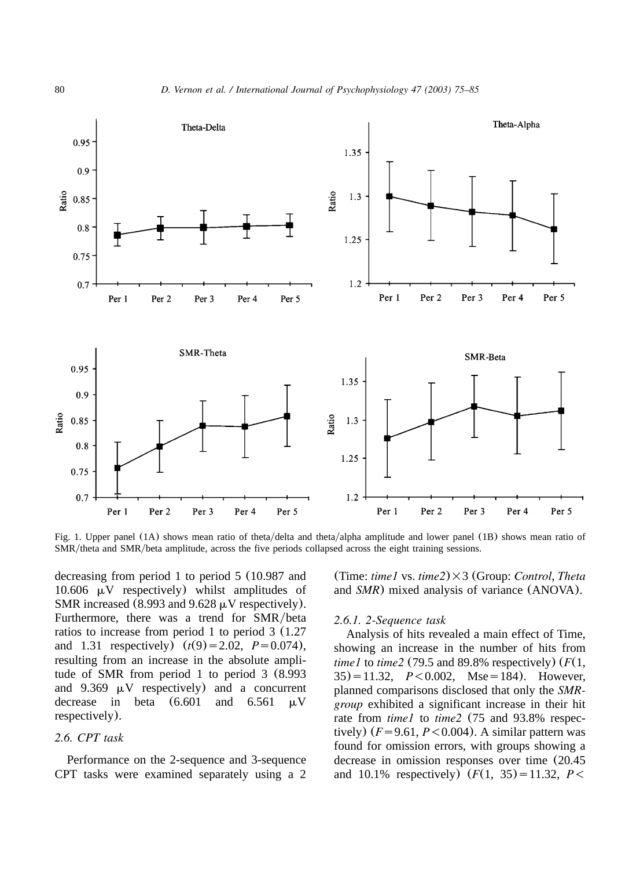<span id="page-5-0"></span>

Fig. 1. Upper panel (1A) shows mean ratio of theta/delta and theta/alpha amplitude and lower panel (1B) shows mean ratio of SMR/theta and SMR/beta amplitude, across the five periods collapsed across the eight training sessions.

decreasing from period 1 to period 5 (10.987 and 10.606  $\mu$ V respectively) whilst amplitudes of SMR increased (8.993 and 9.628  $\mu$ V respectively). Furthermore, there was a trend for SMR/beta ratios to increase from period 1 to period 3 (1.27 and 1.31 respectively)  $(t(9)=2.02, P=0.074)$ , resulting from an increase in the absolute amplitude of SMR from period 1 to period 3 (8.993 and  $9.369 \mu V$  respectively) and a concurrent decrease in beta  $(6.601$  and  $6.561$   $\mu$ V respectively).

# *2.6. CPT task*

Performance on the 2-sequence and 3-sequence CPT tasks were examined separately using a 2

(Time: *time1* vs. *time2*)=3 (Group: *Control*, *Theta* and *SMR*) mixed analysis of variance (ANOVA).

## *2.6.1. 2-Sequence task*

Analysis of hits revealed a main effect of Time, showing an increase in the number of hits from *time1* to *time2* (79.5 and 89.8% respectively) (*F*(1,  $35) = 11.32$ ,  $P < 0.002$ , Mse = 184). However, planned comparisons disclosed that only the *SMRgroup* exhibited a significant increase in their hit rate from *time1* to *time2* (75 and 93.8% respectively)  $(F=9.61, P<0.004)$ . A similar pattern was found for omission errors, with groups showing a decrease in omission responses over time (20.45 and 10.1% respectively)  $(F(1, 35)=11.32, P<$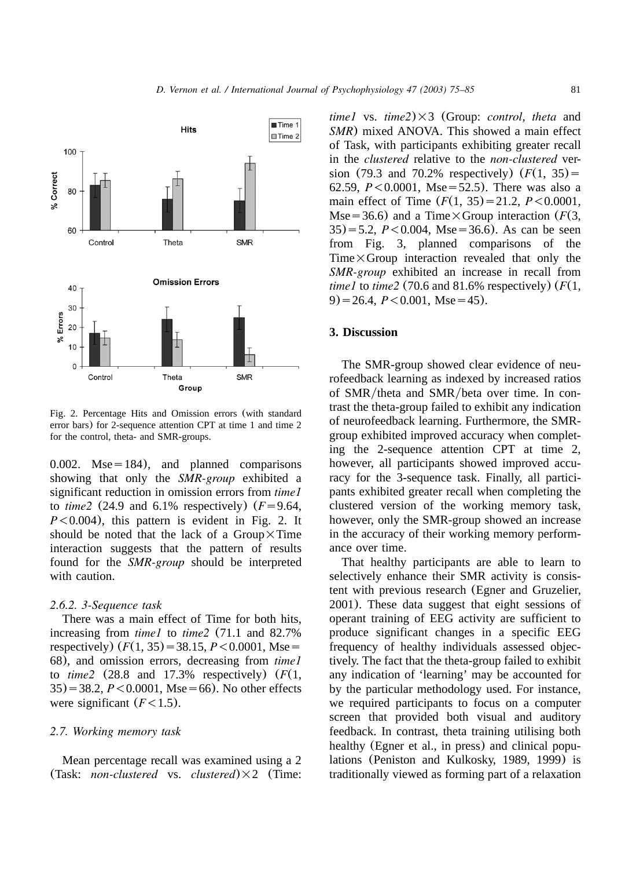

Fig. 2. Percentage Hits and Omission errors (with standard error bars) for 2-sequence attention CPT at time 1 and time 2 for the control, theta- and SMR-groups.

0.002. Mse=184), and planned comparisons showing that only the *SMR-group* exhibited a significant reduction in omission errors from *time1* to *time2* (24.9 and 6.1% respectively)  $(F = 9.64,$  $P<0.004$ ), this pattern is evident in Fig. 2. It should be noted that the lack of a Group $\times$ Time interaction suggests that the pattern of results found for the *SMR-group* should be interpreted with caution.

#### *2.6.2. 3-Sequence task*

There was a main effect of Time for both hits, increasing from *time1* to *time2* (71.1 and 82.7% respectively)  $(F(1, 35) = 38.15, P < 0.0001,$  Mse 68), and omission errors, decreasing from *time1* to  $time2$  (28.8 and 17.3% respectively)  $(F(1,$  $35$ ) = 38.2, *P* < 0.0001, Mse = 66). No other effects were significant  $(F<1.5)$ .

#### *2.7. Working memory task*

Mean percentage recall was examined using a 2 (Task: *non-clustered* vs. *clustered*) $\times 2$  (Time: *time1* vs.  $time2 \times 3$  (Group: *control*, *theta* and *SMR*) mixed ANOVA. This showed a main effect of Task, with participants exhibiting greater recall in the *clustered* relative to the *non-clustered* version (79.3 and 70.2% respectively)  $(F(1, 35)) =$ 62.59,  $P < 0.0001$ , Mse=52.5). There was also a main effect of Time  $(F(1, 35)=21.2, P<0.0001,$ Mse=36.6) and a Time $\times$ Group interaction (*F*(3,  $35$ )=5.2, *P*<0.004, Mse=36.6). As can be seen from [Fig. 3,](#page-7-0) planned comparisons of the Time $\times$ Group interaction revealed that only the *SMR-group* exhibited an increase in recall from *time1* to *time2* (70.6 and 81.6% respectively) (*F*(1,  $9) = 26.4$ ,  $P < 0.001$ , Mse = 45).

## **3. Discussion**

The SMR-group showed clear evidence of neurofeedback learning as indexed by increased ratios of SMR/theta and SMR/beta over time. In contrast the theta-group failed to exhibit any indication of neurofeedback learning. Furthermore, the SMRgroup exhibited improved accuracy when completing the 2-sequence attention CPT at time 2, however, all participants showed improved accuracy for the 3-sequence task. Finally, all participants exhibited greater recall when completing the clustered version of the working memory task, however, only the SMR-group showed an increase in the accuracy of their working memory performance over time.

That healthy participants are able to learn to selectively enhance their SMR activity is consistent with previous research ([Egner and Gruzelier,](#page-9-0) [2001](#page-9-0)). These data suggest that eight sessions of operant training of EEG activity are sufficient to produce significant changes in a specific EEG frequency of healthy individuals assessed objectively. The fact that the theta-group failed to exhibit any indication of 'learning' may be accounted for by the particular methodology used. For instance, we required participants to focus on a computer screen that provided both visual and auditory feedback. In contrast, theta training utilising both healthy ([Egner et al., in press](#page-9-0)) and clinical populations ([Peniston and Kulkosky, 1989, 1999](#page-10-0)) is traditionally viewed as forming part of a relaxation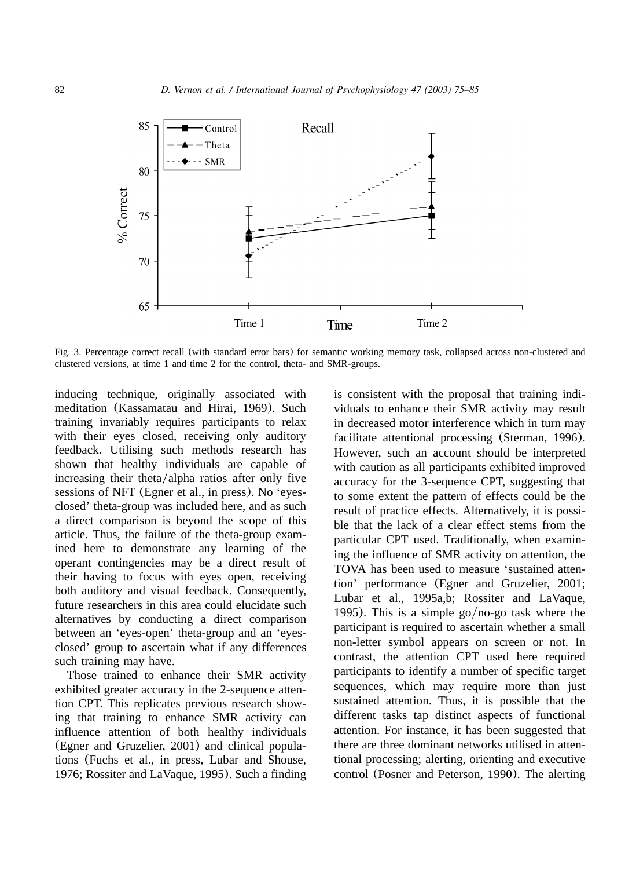<span id="page-7-0"></span>

Fig. 3. Percentage correct recall (with standard error bars) for semantic working memory task, collapsed across non-clustered and clustered versions, at time 1 and time 2 for the control, theta- and SMR-groups.

inducing technique, originally associated with meditation ([Kassamatau and Hirai, 1969](#page-9-0)). Such training invariably requires participants to relax with their eyes closed, receiving only auditory feedback. Utilising such methods research has shown that healthy individuals are capable of increasing their theta/alpha ratios after only five sessions of NFT ([Egner et al., in press](#page-9-0)). No 'eyesclosed' theta-group was included here, and as such a direct comparison is beyond the scope of this article. Thus, the failure of the theta-group examined here to demonstrate any learning of the operant contingencies may be a direct result of their having to focus with eyes open, receiving both auditory and visual feedback. Consequently, future researchers in this area could elucidate such alternatives by conducting a direct comparison between an 'eyes-open' theta-group and an 'eyesclosed' group to ascertain what if any differences such training may have.

Those trained to enhance their SMR activity exhibited greater accuracy in the 2-sequence attention CPT. This replicates previous research showing that training to enhance SMR activity can influence attention of both healthy individuals ([Egner and Gruzelier, 2001](#page-9-0)) and clinical populations ([Fuchs et al., in press, Lubar and Shouse,](#page-9-0) [1976; Rossiter and LaVaque, 1995](#page-9-0)). Such a finding

is consistent with the proposal that training individuals to enhance their SMR activity may result in decreased motor interference which in turn may facilitate attentional processing ([Sterman, 1996](#page-10-0)). However, such an account should be interpreted with caution as all participants exhibited improved accuracy for the 3-sequence CPT, suggesting that to some extent the pattern of effects could be the result of practice effects. Alternatively, it is possible that the lack of a clear effect stems from the particular CPT used. Traditionally, when examining the influence of SMR activity on attention, the TOVA has been used to measure 'sustained attention' performance ([Egner and Gruzelier, 2001;](#page-9-0) [Lubar et al., 1995a,b; Rossiter and LaVaque,](#page-9-0) [1995](#page-9-0)). This is a simple go/no-go task where the participant is required to ascertain whether a small non-letter symbol appears on screen or not. In contrast, the attention CPT used here required participants to identify a number of specific target sequences, which may require more than just sustained attention. Thus, it is possible that the different tasks tap distinct aspects of functional attention. For instance, it has been suggested that there are three dominant networks utilised in attentional processing; alerting, orienting and executive control ([Posner and Peterson, 1990](#page-10-0)). The alerting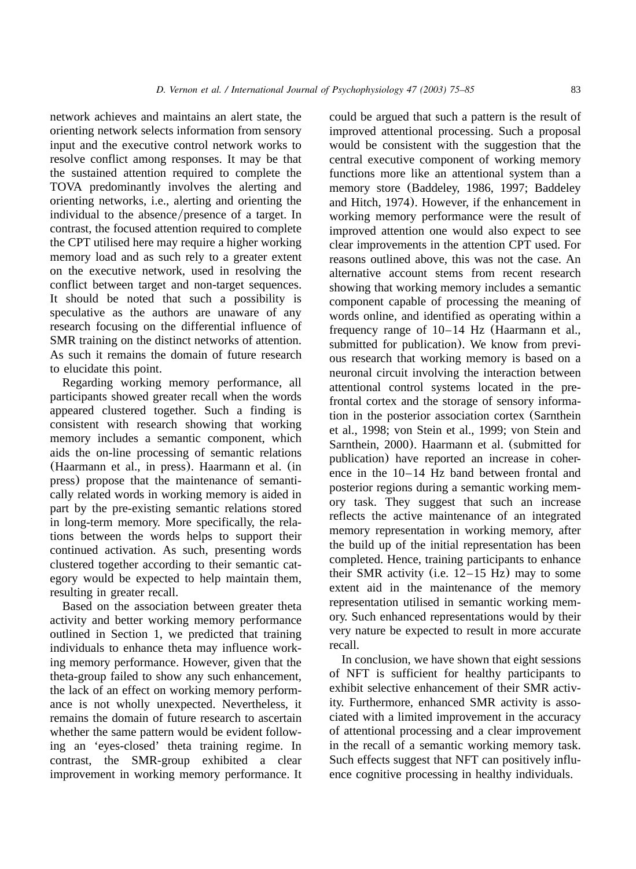network achieves and maintains an alert state, the orienting network selects information from sensory input and the executive control network works to resolve conflict among responses. It may be that the sustained attention required to complete the TOVA predominantly involves the alerting and orienting networks, i.e., alerting and orienting the individual to the absence/presence of a target. In contrast, the focused attention required to complete the CPT utilised here may require a higher working memory load and as such rely to a greater extent on the executive network, used in resolving the conflict between target and non-target sequences. It should be noted that such a possibility is speculative as the authors are unaware of any research focusing on the differential influence of SMR training on the distinct networks of attention. As such it remains the domain of future research to elucidate this point.

Regarding working memory performance, all participants showed greater recall when the words appeared clustered together. Such a finding is consistent with research showing that working memory includes a semantic component, which aids the on-line processing of semantic relations ([Haarmann et al., in press](#page-9-0)). [Haarmann et al.](#page-9-0) (in [press](#page-9-0)) propose that the maintenance of semantically related words in working memory is aided in part by the pre-existing semantic relations stored in long-term memory. More specifically, the relations between the words helps to support their continued activation. As such, presenting words clustered together according to their semantic category would be expected to help maintain them, resulting in greater recall.

Based on the association between greater theta activity and better working memory performance outlined in [Section 1,](#page-0-0) we predicted that training individuals to enhance theta may influence working memory performance. However, given that the theta-group failed to show any such enhancement, the lack of an effect on working memory performance is not wholly unexpected. Nevertheless, it remains the domain of future research to ascertain whether the same pattern would be evident following an 'eyes-closed' theta training regime. In contrast, the SMR-group exhibited a clear improvement in working memory performance. It

could be argued that such a pattern is the result of improved attentional processing. Such a proposal would be consistent with the suggestion that the central executive component of working memory functions more like an attentional system than a memory store ([Baddeley, 1986, 1997; Baddeley](#page-9-0) [and Hitch, 1974](#page-9-0)). However, if the enhancement in working memory performance were the result of improved attention one would also expect to see clear improvements in the attention CPT used. For reasons outlined above, this was not the case. An alternative account stems from recent research showing that working memory includes a semantic component capable of processing the meaning of words online, and identified as operating within a frequency range of 10–14 Hz ([Haarmann et al.,](#page-9-0) [submitted for publication](#page-9-0)). We know from previous research that working memory is based on a neuronal circuit involving the interaction between attentional control systems located in the prefrontal cortex and the storage of sensory information in the posterior association cortex ([Sarnthein](#page-10-0) [et al., 1998; von Stein et al., 1999; von Stein and](#page-10-0) [Sarnthein, 2000](#page-10-0)). [Haarmann et al.](#page-9-0) (submitted for [publication](#page-9-0)) have reported an increase in coherence in the 10–14 Hz band between frontal and posterior regions during a semantic working memory task. They suggest that such an increase reflects the active maintenance of an integrated memory representation in working memory, after the build up of the initial representation has been completed. Hence, training participants to enhance their SMR activity (i.e.  $12-15$  Hz) may to some extent aid in the maintenance of the memory representation utilised in semantic working memory. Such enhanced representations would by their very nature be expected to result in more accurate recall.

In conclusion, we have shown that eight sessions of NFT is sufficient for healthy participants to exhibit selective enhancement of their SMR activity. Furthermore, enhanced SMR activity is associated with a limited improvement in the accuracy of attentional processing and a clear improvement in the recall of a semantic working memory task. Such effects suggest that NFT can positively influence cognitive processing in healthy individuals.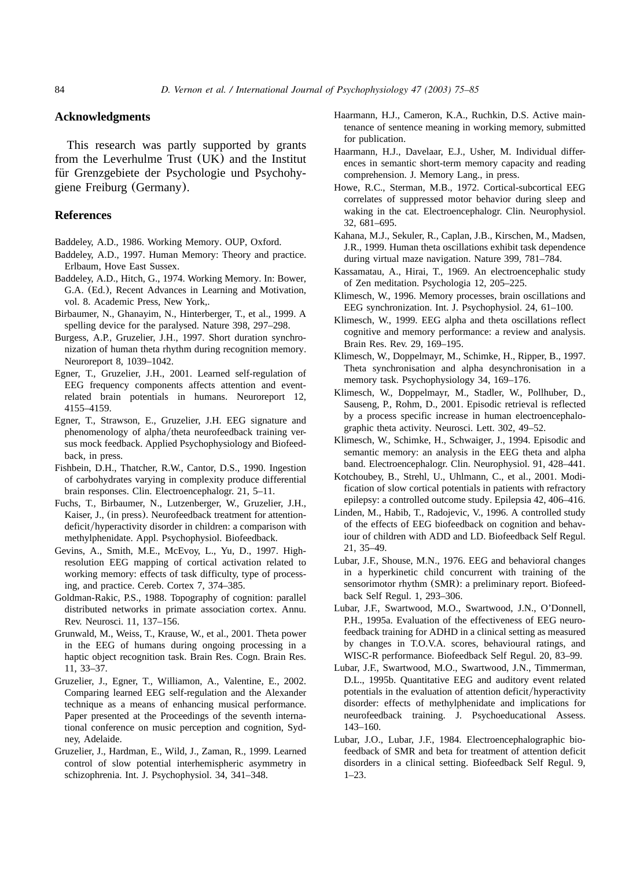## <span id="page-9-0"></span>**Acknowledgments**

This research was partly supported by grants from the Leverhulme Trust (UK) and the Institut für Grenzgebiete der Psychologie und Psychohygiene Freiburg (Germany).

## **References**

- Baddeley, A.D., 1986. Working Memory. OUP, Oxford.
- Baddeley, A.D., 1997. Human Memory: Theory and practice. Erlbaum, Hove East Sussex.
- Baddeley, A.D., Hitch, G., 1974. Working Memory. In: Bower, G.A. (Ed.), Recent Advances in Learning and Motivation, vol. 8. Academic Press, New York,.
- Birbaumer, N., Ghanayim, N., Hinterberger, T., et al., 1999. A spelling device for the paralysed. Nature 398, 297–298.
- Burgess, A.P., Gruzelier, J.H., 1997. Short duration synchronization of human theta rhythm during recognition memory. Neuroreport 8, 1039–1042.
- Egner, T., Gruzelier, J.H., 2001. Learned self-regulation of EEG frequency components affects attention and eventrelated brain potentials in humans. Neuroreport 12, 4155–4159.
- Egner, T., Strawson, E., Gruzelier, J.H. EEG signature and phenomenology of alpha/theta neurofeedback training versus mock feedback. Applied Psychophysiology and Biofeedback, in press.
- Fishbein, D.H., Thatcher, R.W., Cantor, D.S., 1990. Ingestion of carbohydrates varying in complexity produce differential brain responses. Clin. Electroencephalogr. 21, 5–11.
- Fuchs, T., Birbaumer, N., Lutzenberger, W., Gruzelier, J.H., Kaiser, J., (in press). Neurofeedback treatment for attentiondeficit/hyperactivity disorder in children: a comparison with methylphenidate. Appl. Psychophysiol. Biofeedback.
- Gevins, A., Smith, M.E., McEvoy, L., Yu, D., 1997. Highresolution EEG mapping of cortical activation related to working memory: effects of task difficulty, type of processing, and practice. Cereb. Cortex 7, 374–385.
- Goldman-Rakic, P.S., 1988. Topography of cognition: parallel distributed networks in primate association cortex. Annu. Rev. Neurosci. 11, 137–156.
- Grunwald, M., Weiss, T., Krause, W., et al., 2001. Theta power in the EEG of humans during ongoing processing in a haptic object recognition task. Brain Res. Cogn. Brain Res. 11, 33–37.
- Gruzelier, J., Egner, T., Williamon, A., Valentine, E., 2002. Comparing learned EEG self-regulation and the Alexander technique as a means of enhancing musical performance. Paper presented at the Proceedings of the seventh international conference on music perception and cognition, Sydney, Adelaide.
- Gruzelier, J., Hardman, E., Wild, J., Zaman, R., 1999. Learned control of slow potential interhemispheric asymmetry in schizophrenia. Int. J. Psychophysiol. 34, 341–348.
- Haarmann, H.J., Cameron, K.A., Ruchkin, D.S. Active maintenance of sentence meaning in working memory, submitted for publication.
- Haarmann, H.J., Davelaar, E.J., Usher, M. Individual differences in semantic short-term memory capacity and reading comprehension. J. Memory Lang., in press.
- Howe, R.C., Sterman, M.B., 1972. Cortical-subcortical EEG correlates of suppressed motor behavior during sleep and waking in the cat. Electroencephalogr. Clin. Neurophysiol. 32, 681–695.
- Kahana, M.J., Sekuler, R., Caplan, J.B., Kirschen, M., Madsen, J.R., 1999. Human theta oscillations exhibit task dependence during virtual maze navigation. Nature 399, 781–784.
- Kassamatau, A., Hirai, T., 1969. An electroencephalic study of Zen meditation. Psychologia 12, 205–225.
- Klimesch, W., 1996. Memory processes, brain oscillations and EEG synchronization. Int. J. Psychophysiol. 24, 61–100.
- Klimesch, W., 1999. EEG alpha and theta oscillations reflect cognitive and memory performance: a review and analysis. Brain Res. Rev. 29, 169–195.
- Klimesch, W., Doppelmayr, M., Schimke, H., Ripper, B., 1997. Theta synchronisation and alpha desynchronisation in a memory task. Psychophysiology 34, 169–176.
- Klimesch, W., Doppelmayr, M., Stadler, W., Pollhuber, D., Sauseng, P., Rohm, D., 2001. Episodic retrieval is reflected by a process specific increase in human electroencephalographic theta activity. Neurosci. Lett. 302, 49–52.
- Klimesch, W., Schimke, H., Schwaiger, J., 1994. Episodic and semantic memory: an analysis in the EEG theta and alpha band. Electroencephalogr. Clin. Neurophysiol. 91, 428–441.
- Kotchoubey, B., Strehl, U., Uhlmann, C., et al., 2001. Modification of slow cortical potentials in patients with refractory epilepsy: a controlled outcome study. Epilepsia 42, 406–416.
- Linden, M., Habib, T., Radojevic, V., 1996. A controlled study of the effects of EEG biofeedback on cognition and behaviour of children with ADD and LD. Biofeedback Self Regul. 21, 35–49.
- Lubar, J.F., Shouse, M.N., 1976. EEG and behavioral changes in a hyperkinetic child concurrent with training of the sensorimotor rhythm (SMR): a preliminary report. Biofeedback Self Regul. 1, 293–306.
- Lubar, J.F., Swartwood, M.O., Swartwood, J.N., O'Donnell, P.H., 1995a. Evaluation of the effectiveness of EEG neurofeedback training for ADHD in a clinical setting as measured by changes in T.O.V.A. scores, behavioural ratings, and WISC-R performance. Biofeedback Self Regul. 20, 83–99.
- Lubar, J.F., Swartwood, M.O., Swartwood, J.N., Timmerman, D.L., 1995b. Quantitative EEG and auditory event related potentials in the evaluation of attention deficit/hyperactivity disorder: effects of methylphenidate and implications for neurofeedback training. J. Psychoeducational Assess. 143–160.
- Lubar, J.O., Lubar, J.F., 1984. Electroencephalographic biofeedback of SMR and beta for treatment of attention deficit disorders in a clinical setting. Biofeedback Self Regul. 9,  $1 - 23$